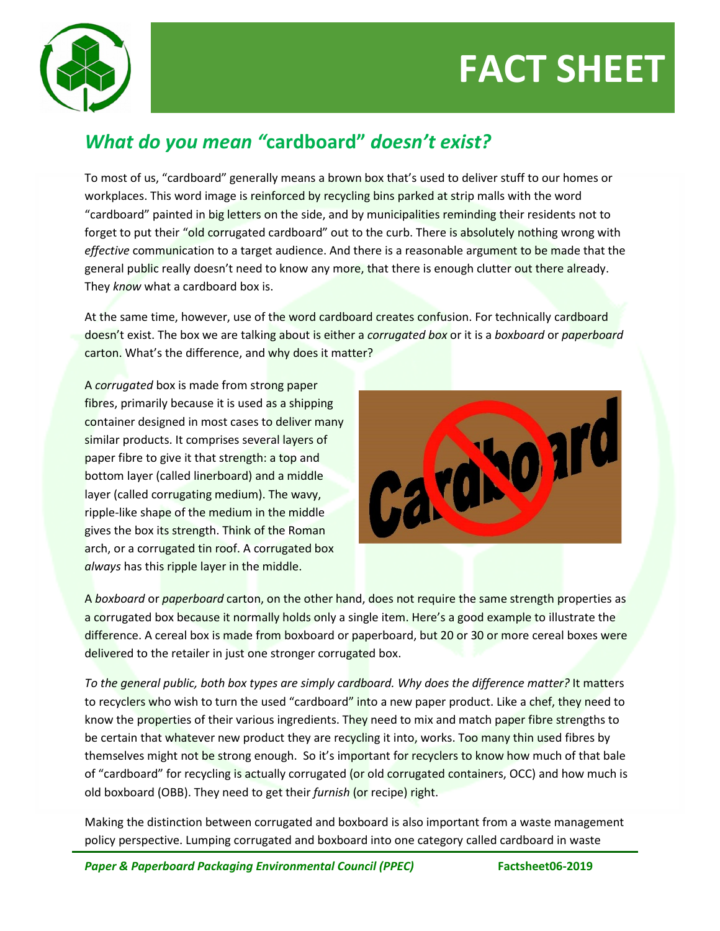## **FACT SHEET**



## *What do you mean "***cardboard"** *doesn't exist?*

To most of us, "cardboard" generally means a brown box that's used to deliver stuff to our homes or workplaces. This word image is reinforced by recycling bins parked at strip malls with the word "cardboard" painted in big letters on the side, and by municipalities reminding their residents not to forget to put their "old corrugated cardboard" out to the curb. There is absolutely nothing wrong with *effective* communication to a target audience. And there is a reasonable argument to be made that the general public really doesn't need to know any more, that there is enough clutter out there already. They *know* what a cardboard box is.

At the same time, however, use of the word cardboard creates confusion. For technically cardboard doesn't exist. The box we are talking about is either a *corrugated box* or it is a *boxboard* or *paperboard*  carton. What's the difference, and why does it matter?

A *corrugated* box is made from strong paper fibres, primarily because it is used as a shipping container designed in most cases to deliver many similar products. It comprises several layers of paper fibre to give it that strength: a top and bottom layer (called linerboard) and a middle layer (called corrugating medium). The wavy, ripple-like shape of the medium in the middle gives the box its strength. Think of the Roman arch, or a corrugated tin roof. A corrugated box *always* has this ripple layer in the middle.



A *boxboard* or *paperboard* carton, on the other hand, does not require the same strength properties as a corrugated box because it normally holds only a single item. Here's a good example to illustrate the difference. A cereal box is made from boxboard or paperboard, but 20 or 30 or more cereal boxes were delivered to the retailer in just one stronger corrugated box.

*To the general public, both box types are simply cardboard. Why does the difference matter?* It matters to recyclers who wish to turn the used "cardboard" into a new paper product. Like a chef, they need to know the properties of their various ingredients. They need to mix and match paper fibre strengths to be certain that whatever new product they are recycling it into, works. Too many thin used fibres by themselves might not be strong enough. So it's important for recyclers to know how much of that bale of "cardboard" for recycling is actually corrugated (or old corrugated containers, OCC) and how much is old boxboard (OBB). They need to get their *furnish* (or recipe) right.

Making the distinction between corrugated and boxboard is also important from a waste management policy perspective. Lumping corrugated and boxboard into one category called cardboard in waste

*Paper & Paperboard Packaging Environmental Council (PPEC)* **Factsheet06-2019**